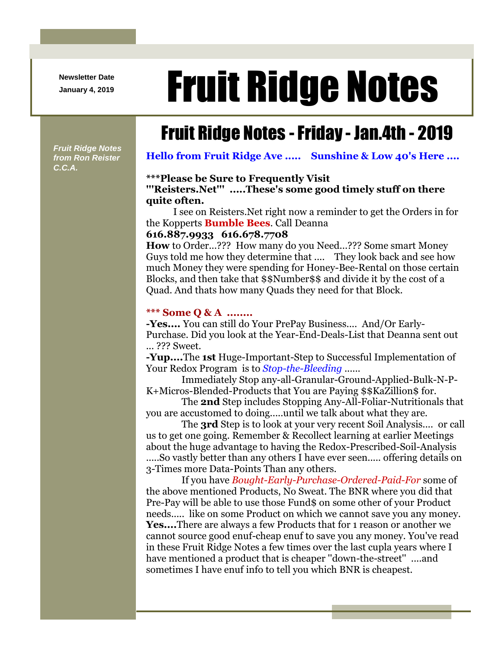**Newsletter Date**

# Newsletter Date **Fruit Ridge Notes**

## Fruit Ridge Notes -Friday - Jan.4th - 2019

*Fruit Ridge Notes from Ron Reister C.C.A.*

**Hello from Fruit Ridge Ave ..... Sunshine & Low 40's Here ....**

#### **\*\*\*Please be Sure to Frequently Visit**

#### **'''Reisters.Net''' .....These's some good timely stuff on there quite often.**

I see on Reisters.Net right now a reminder to get the Orders in for the Kopperts **Bumble Bees**. Call Deanna

#### **616.887.9933 616.678.7708**

**How** to Order...??? How many do you Need...??? Some smart Money Guys told me how they determine that .... They look back and see how much Money they were spending for Honey-Bee-Rental on those certain Blocks, and then take that \$\$Number\$\$ and divide it by the cost of a Quad. And thats how many Quads they need for that Block.

#### **\*\*\* Some Q & A ........**

**-Yes....** You can still do Your PrePay Business.... And/Or Early-Purchase. Did you look at the Year-End-Deals-List that Deanna sent out ... ??? Sweet.

**-Yup....**The **1st** Huge-Important-Step to Successful Implementation of Your Redox Program is to *Stop-the-Bleeding* ......

Immediately Stop any-all-Granular-Ground-Applied-Bulk-N-P-K+Micros-Blended-Products that You are Paying \$\$KaZillion\$ for.

The **2nd** Step includes Stopping Any-All-Foliar-Nutritionals that you are accustomed to doing.....until we talk about what they are.

The **3rd** Step is to look at your very recent Soil Analysis.... or call us to get one going. Remember & Recollect learning at earlier Meetings about the huge advantage to having the Redox-Prescribed-Soil-Analysis

.....So vastly better than any others I have ever seen..... offering details on 3-Times more Data-Points Than any others.

If you have *Bought-Early-Purchase-Ordered-Paid-For* some of the above mentioned Products, No Sweat. The BNR where you did that Pre-Pay will be able to use those Fund\$ on some other of your Product needs..... like on some Product on which we cannot save you any money. **Yes....**There are always a few Products that for 1 reason or another we cannot source good enuf-cheap enuf to save you any money. You've read in these Fruit Ridge Notes a few times over the last cupla years where I have mentioned a product that is cheaper ''down-the-street'' ....and sometimes I have enuf info to tell you which BNR is cheapest.